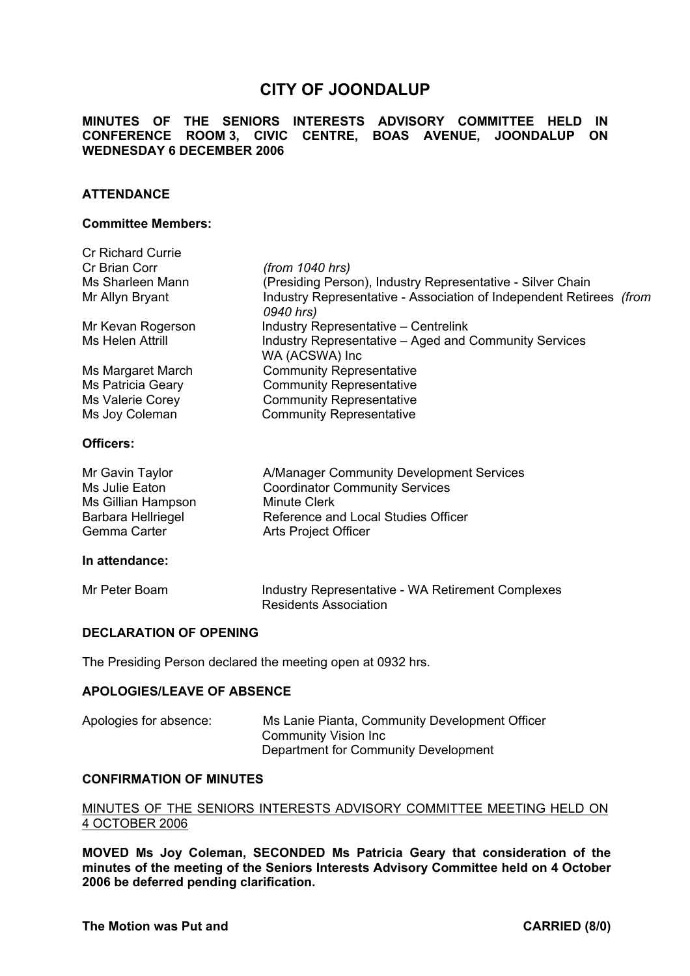# **CITY OF JOONDALUP**

**MINUTES OF THE SENIORS INTERESTS ADVISORY COMMITTEE HELD IN CONFERENCE ROOM 3, CIVIC CENTRE, BOAS AVENUE, JOONDALUP ON WEDNESDAY 6 DECEMBER 2006** 

# **ATTENDANCE**

#### **Committee Members:**

| <b>Cr Richard Currie</b> |                                                                                  |
|--------------------------|----------------------------------------------------------------------------------|
| Cr Brian Corr            | (from 1040 hrs)                                                                  |
| Ms Sharleen Mann         | (Presiding Person), Industry Representative - Silver Chain                       |
| Mr Allyn Bryant          | Industry Representative - Association of Independent Retirees (from<br>0940 hrs) |
| Mr Kevan Rogerson        | <b>Industry Representative – Centrelink</b>                                      |
| Ms Helen Attrill         | Industry Representative – Aged and Community Services                            |
|                          | WA (ACSWA) Inc                                                                   |
| Ms Margaret March        | <b>Community Representative</b>                                                  |
| Ms Patricia Geary        | <b>Community Representative</b>                                                  |
| Ms Valerie Corey         | <b>Community Representative</b>                                                  |
| Ms Joy Coleman           | <b>Community Representative</b>                                                  |
| Officers:                |                                                                                  |

#### **Officers:**

| Mr Gavin Taylor           | A/Manager Community Development Services                 |
|---------------------------|----------------------------------------------------------|
| Ms Julie Eaton            | <b>Coordinator Community Services</b>                    |
| Ms Gillian Hampson        | <b>Minute Clerk</b>                                      |
| <b>Barbara Hellriegel</b> | Reference and Local Studies Officer                      |
| Gemma Carter              | Arts Project Officer                                     |
|                           |                                                          |
| In attendance:            |                                                          |
| Mr Peter Boam             | <b>Industry Representative - WA Retirement Complexes</b> |

Residents Association

# **DECLARATION OF OPENING**

The Presiding Person declared the meeting open at 0932 hrs.

#### **APOLOGIES/LEAVE OF ABSENCE**

| Apologies for absence: | Ms Lanie Pianta, Community Development Officer |
|------------------------|------------------------------------------------|
|                        | Community Vision Inc                           |
|                        | Department for Community Development           |

# **CONFIRMATION OF MINUTES**

# MINUTES OF THE SENIORS INTERESTS ADVISORY COMMITTEE MEETING HELD ON 4 OCTOBER 2006

**MOVED Ms Joy Coleman, SECONDED Ms Patricia Geary that consideration of the minutes of the meeting of the Seniors Interests Advisory Committee held on 4 October 2006 be deferred pending clarification.**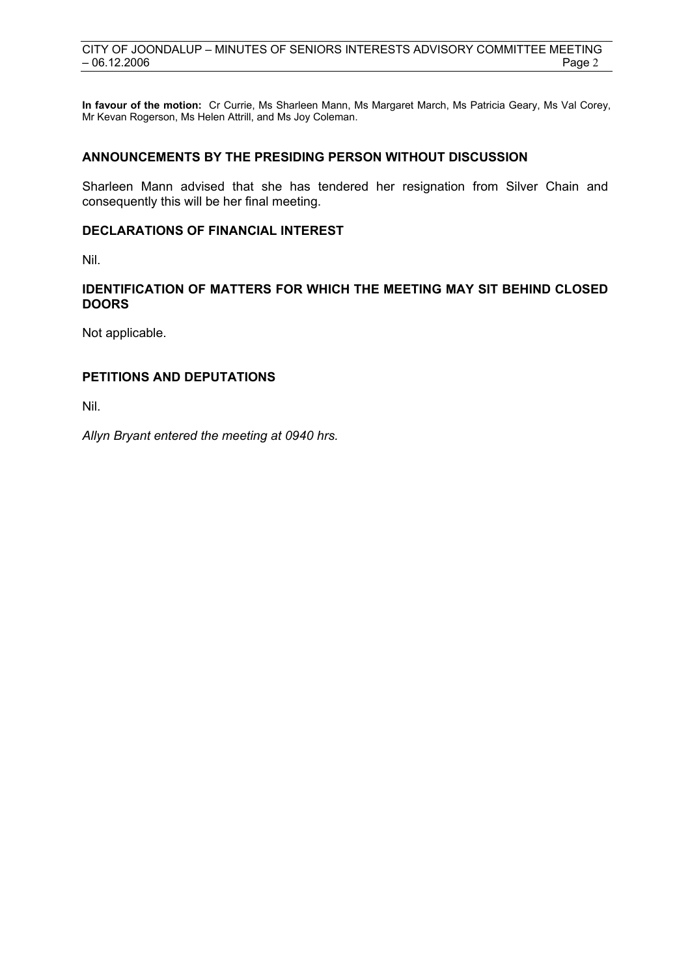**In favour of the motion:** Cr Currie, Ms Sharleen Mann, Ms Margaret March, Ms Patricia Geary, Ms Val Corey, Mr Kevan Rogerson, Ms Helen Attrill, and Ms Joy Coleman.

# **ANNOUNCEMENTS BY THE PRESIDING PERSON WITHOUT DISCUSSION**

Sharleen Mann advised that she has tendered her resignation from Silver Chain and consequently this will be her final meeting.

# **DECLARATIONS OF FINANCIAL INTEREST**

Nil.

# **IDENTIFICATION OF MATTERS FOR WHICH THE MEETING MAY SIT BEHIND CLOSED DOORS**

Not applicable.

# **PETITIONS AND DEPUTATIONS**

Nil.

*Allyn Bryant entered the meeting at 0940 hrs.*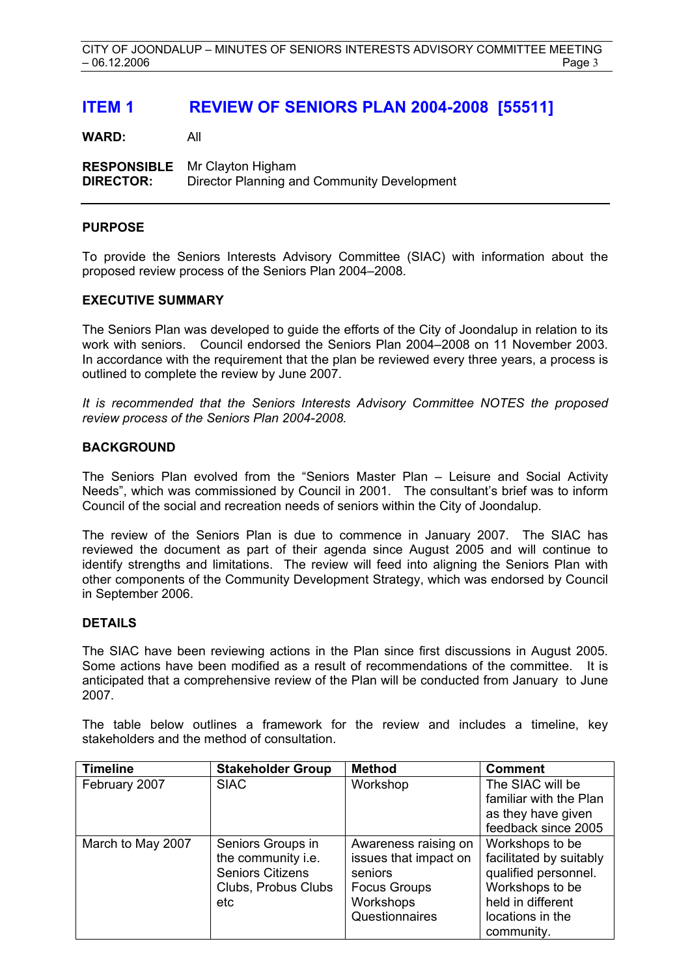# **ITEM 1 REVIEW OF SENIORS PLAN 2004-2008 [55511]**

**WARD:** All

**RESPONSIBLE** Mr Clayton Higham **DIRECTOR:** Director Planning and Community Development

#### **PURPOSE**

To provide the Seniors Interests Advisory Committee (SIAC) with information about the proposed review process of the Seniors Plan 2004–2008.

# **EXECUTIVE SUMMARY**

The Seniors Plan was developed to guide the efforts of the City of Joondalup in relation to its work with seniors. Council endorsed the Seniors Plan 2004–2008 on 11 November 2003. In accordance with the requirement that the plan be reviewed every three years, a process is outlined to complete the review by June 2007.

*It is recommended that the Seniors Interests Advisory Committee NOTES the proposed review process of the Seniors Plan 2004-2008.* 

# **BACKGROUND**

The Seniors Plan evolved from the "Seniors Master Plan – Leisure and Social Activity Needs", which was commissioned by Council in 2001. The consultant's brief was to inform Council of the social and recreation needs of seniors within the City of Joondalup.

The review of the Seniors Plan is due to commence in January 2007. The SIAC has reviewed the document as part of their agenda since August 2005 and will continue to identify strengths and limitations. The review will feed into aligning the Seniors Plan with other components of the Community Development Strategy, which was endorsed by Council in September 2006.

#### **DETAILS**

The SIAC have been reviewing actions in the Plan since first discussions in August 2005. Some actions have been modified as a result of recommendations of the committee. It is anticipated that a comprehensive review of the Plan will be conducted from January to June 2007.

The table below outlines a framework for the review and includes a timeline, key stakeholders and the method of consultation.

| <b>Timeline</b>   | <b>Stakeholder Group</b> | <b>Method</b>         | <b>Comment</b>          |
|-------------------|--------------------------|-----------------------|-------------------------|
| February 2007     | <b>SIAC</b>              | Workshop              | The SIAC will be        |
|                   |                          |                       | familiar with the Plan  |
|                   |                          |                       | as they have given      |
|                   |                          |                       | feedback since 2005     |
| March to May 2007 | Seniors Groups in        | Awareness raising on  | Workshops to be         |
|                   | the community i.e.       | issues that impact on | facilitated by suitably |
|                   | <b>Seniors Citizens</b>  | seniors               | qualified personnel.    |
|                   | Clubs, Probus Clubs      | <b>Focus Groups</b>   | Workshops to be         |
|                   | etc                      | Workshops             | held in different       |
|                   |                          | Questionnaires        | locations in the        |
|                   |                          |                       | community.              |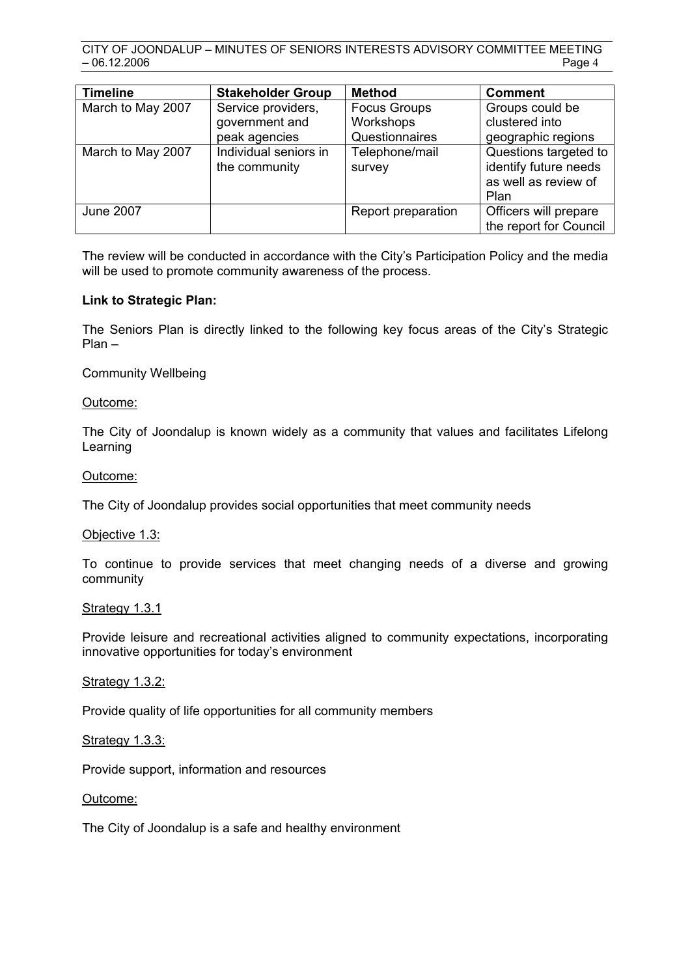| <b>Timeline</b>   | <b>Stakeholder Group</b>               | <b>Method</b>            | <b>Comment</b>                                                                 |
|-------------------|----------------------------------------|--------------------------|--------------------------------------------------------------------------------|
| March to May 2007 | Service providers,                     | <b>Focus Groups</b>      | Groups could be                                                                |
|                   | government and                         | Workshops                | clustered into                                                                 |
|                   | peak agencies                          | Questionnaires           | geographic regions                                                             |
| March to May 2007 | Individual seniors in<br>the community | Telephone/mail<br>survey | Questions targeted to<br>identify future needs<br>as well as review of<br>Plan |
| <b>June 2007</b>  |                                        | Report preparation       | Officers will prepare<br>the report for Council                                |

The review will be conducted in accordance with the City's Participation Policy and the media will be used to promote community awareness of the process.

# **Link to Strategic Plan:**

The Seniors Plan is directly linked to the following key focus areas of the City's Strategic Plan –

Community Wellbeing

# Outcome:

The City of Joondalup is known widely as a community that values and facilitates Lifelong Learning

# Outcome:

The City of Joondalup provides social opportunities that meet community needs

#### Objective 1.3:

To continue to provide services that meet changing needs of a diverse and growing community

#### Strategy 1.3.1

Provide leisure and recreational activities aligned to community expectations, incorporating innovative opportunities for today's environment

#### Strategy 1.3.2:

Provide quality of life opportunities for all community members

#### **Strategy 1.3.3:**

Provide support, information and resources

#### Outcome:

The City of Joondalup is a safe and healthy environment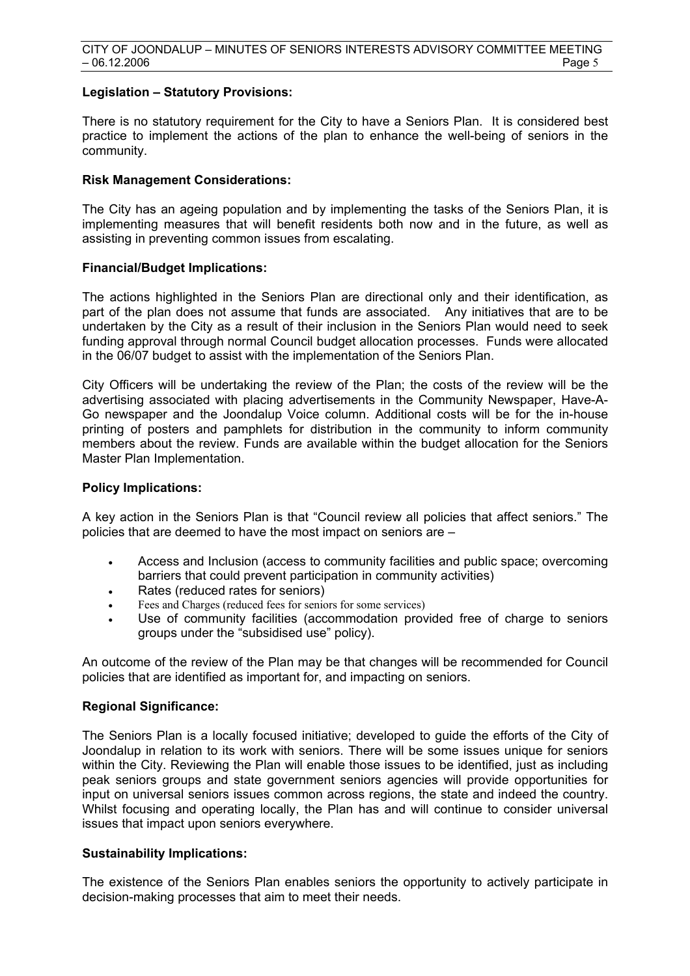#### **Legislation – Statutory Provisions:**

There is no statutory requirement for the City to have a Seniors Plan. It is considered best practice to implement the actions of the plan to enhance the well-being of seniors in the community.

# **Risk Management Considerations:**

The City has an ageing population and by implementing the tasks of the Seniors Plan, it is implementing measures that will benefit residents both now and in the future, as well as assisting in preventing common issues from escalating.

# **Financial/Budget Implications:**

The actions highlighted in the Seniors Plan are directional only and their identification, as part of the plan does not assume that funds are associated. Any initiatives that are to be undertaken by the City as a result of their inclusion in the Seniors Plan would need to seek funding approval through normal Council budget allocation processes. Funds were allocated in the 06/07 budget to assist with the implementation of the Seniors Plan.

City Officers will be undertaking the review of the Plan; the costs of the review will be the advertising associated with placing advertisements in the Community Newspaper, Have-A-Go newspaper and the Joondalup Voice column. Additional costs will be for the in-house printing of posters and pamphlets for distribution in the community to inform community members about the review. Funds are available within the budget allocation for the Seniors Master Plan Implementation.

#### **Policy Implications:**

A key action in the Seniors Plan is that "Council review all policies that affect seniors." The policies that are deemed to have the most impact on seniors are –

- Access and Inclusion (access to community facilities and public space; overcoming barriers that could prevent participation in community activities)
- Rates (reduced rates for seniors)
- Fees and Charges (reduced fees for seniors for some services)
- Use of community facilities (accommodation provided free of charge to seniors groups under the "subsidised use" policy).

An outcome of the review of the Plan may be that changes will be recommended for Council policies that are identified as important for, and impacting on seniors.

#### **Regional Significance:**

The Seniors Plan is a locally focused initiative; developed to guide the efforts of the City of Joondalup in relation to its work with seniors. There will be some issues unique for seniors within the City. Reviewing the Plan will enable those issues to be identified, just as including peak seniors groups and state government seniors agencies will provide opportunities for input on universal seniors issues common across regions, the state and indeed the country. Whilst focusing and operating locally, the Plan has and will continue to consider universal issues that impact upon seniors everywhere.

#### **Sustainability Implications:**

The existence of the Seniors Plan enables seniors the opportunity to actively participate in decision-making processes that aim to meet their needs.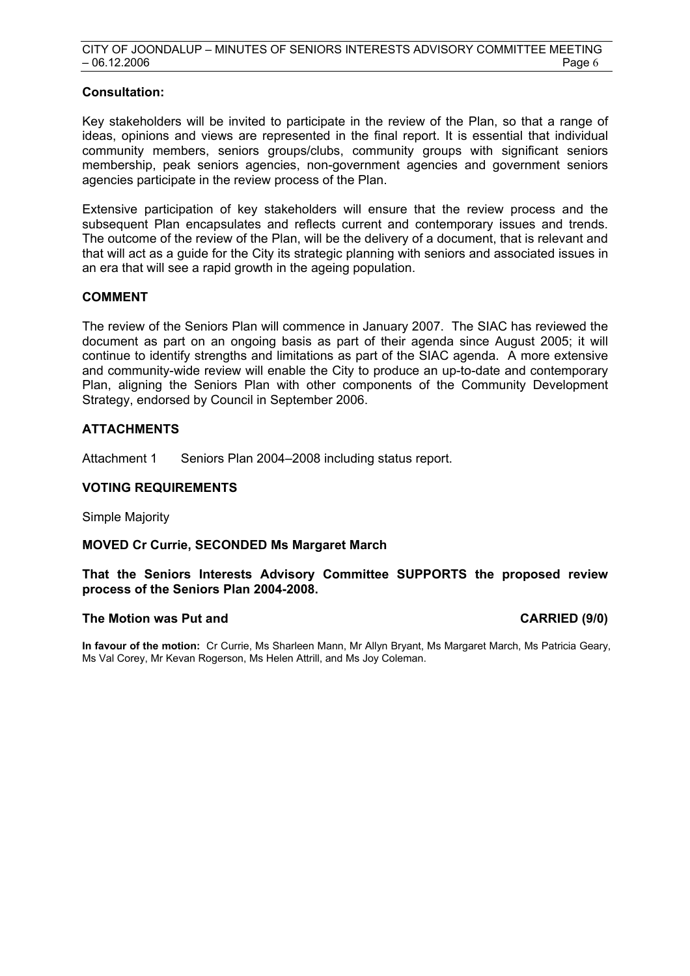# **Consultation:**

Key stakeholders will be invited to participate in the review of the Plan, so that a range of ideas, opinions and views are represented in the final report. It is essential that individual community members, seniors groups/clubs, community groups with significant seniors membership, peak seniors agencies, non-government agencies and government seniors agencies participate in the review process of the Plan.

Extensive participation of key stakeholders will ensure that the review process and the subsequent Plan encapsulates and reflects current and contemporary issues and trends. The outcome of the review of the Plan, will be the delivery of a document, that is relevant and that will act as a guide for the City its strategic planning with seniors and associated issues in an era that will see a rapid growth in the ageing population.

# **COMMENT**

The review of the Seniors Plan will commence in January 2007. The SIAC has reviewed the document as part on an ongoing basis as part of their agenda since August 2005; it will continue to identify strengths and limitations as part of the SIAC agenda. A more extensive and community-wide review will enable the City to produce an up-to-date and contemporary Plan, aligning the Seniors Plan with other components of the Community Development Strategy, endorsed by Council in September 2006.

# **ATTACHMENTS**

Attachment 1 Seniors Plan 2004–2008 including status report.

# **VOTING REQUIREMENTS**

Simple Majority

# **MOVED Cr Currie, SECONDED Ms Margaret March**

**That the Seniors Interests Advisory Committee SUPPORTS the proposed review process of the Seniors Plan 2004-2008.** 

#### **The Motion was Put and CARRIED (9/0) CARRIED (9/0)**

**In favour of the motion:** Cr Currie, Ms Sharleen Mann, Mr Allyn Bryant, Ms Margaret March, Ms Patricia Geary, Ms Val Corey, Mr Kevan Rogerson, Ms Helen Attrill, and Ms Joy Coleman.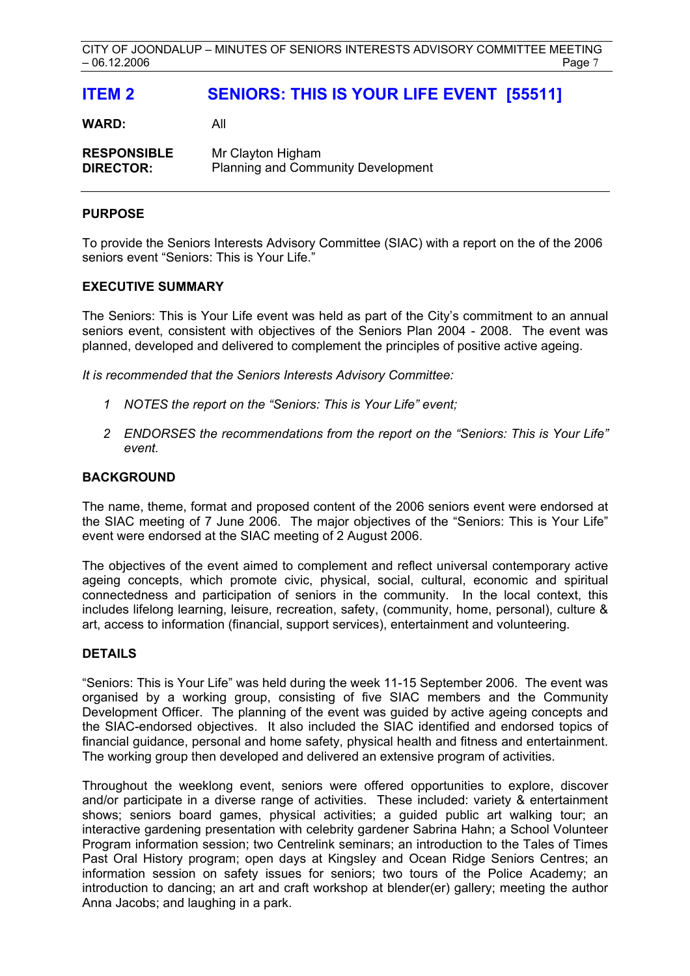# **ITEM 2 SENIORS: THIS IS YOUR LIFE EVENT [55511]**

**WARD:** All

**RESPONSIBLE** Mr Clayton Higham **DIRECTOR:** Planning and Community Development

# **PURPOSE**

To provide the Seniors Interests Advisory Committee (SIAC) with a report on the of the 2006 seniors event "Seniors: This is Your Life."

# **EXECUTIVE SUMMARY**

The Seniors: This is Your Life event was held as part of the City's commitment to an annual seniors event, consistent with objectives of the Seniors Plan 2004 - 2008. The event was planned, developed and delivered to complement the principles of positive active ageing.

*It is recommended that the Seniors Interests Advisory Committee:* 

- *1 NOTES the report on the "Seniors: This is Your Life" event;*
- *2 ENDORSES the recommendations from the report on the "Seniors: This is Your Life" event.*

# **BACKGROUND**

The name, theme, format and proposed content of the 2006 seniors event were endorsed at the SIAC meeting of 7 June 2006. The major objectives of the "Seniors: This is Your Life" event were endorsed at the SIAC meeting of 2 August 2006.

The objectives of the event aimed to complement and reflect universal contemporary active ageing concepts, which promote civic, physical, social, cultural, economic and spiritual connectedness and participation of seniors in the community. In the local context, this includes lifelong learning, leisure, recreation, safety, (community, home, personal), culture & art, access to information (financial, support services), entertainment and volunteering.

# **DETAILS**

"Seniors: This is Your Life" was held during the week 11-15 September 2006. The event was organised by a working group, consisting of five SIAC members and the Community Development Officer. The planning of the event was guided by active ageing concepts and the SIAC-endorsed objectives. It also included the SIAC identified and endorsed topics of financial guidance, personal and home safety, physical health and fitness and entertainment. The working group then developed and delivered an extensive program of activities.

Throughout the weeklong event, seniors were offered opportunities to explore, discover and/or participate in a diverse range of activities. These included: variety & entertainment shows; seniors board games, physical activities; a guided public art walking tour; an interactive gardening presentation with celebrity gardener Sabrina Hahn; a School Volunteer Program information session; two Centrelink seminars; an introduction to the Tales of Times Past Oral History program; open days at Kingsley and Ocean Ridge Seniors Centres; an information session on safety issues for seniors; two tours of the Police Academy; an introduction to dancing; an art and craft workshop at blender(er) gallery; meeting the author Anna Jacobs; and laughing in a park.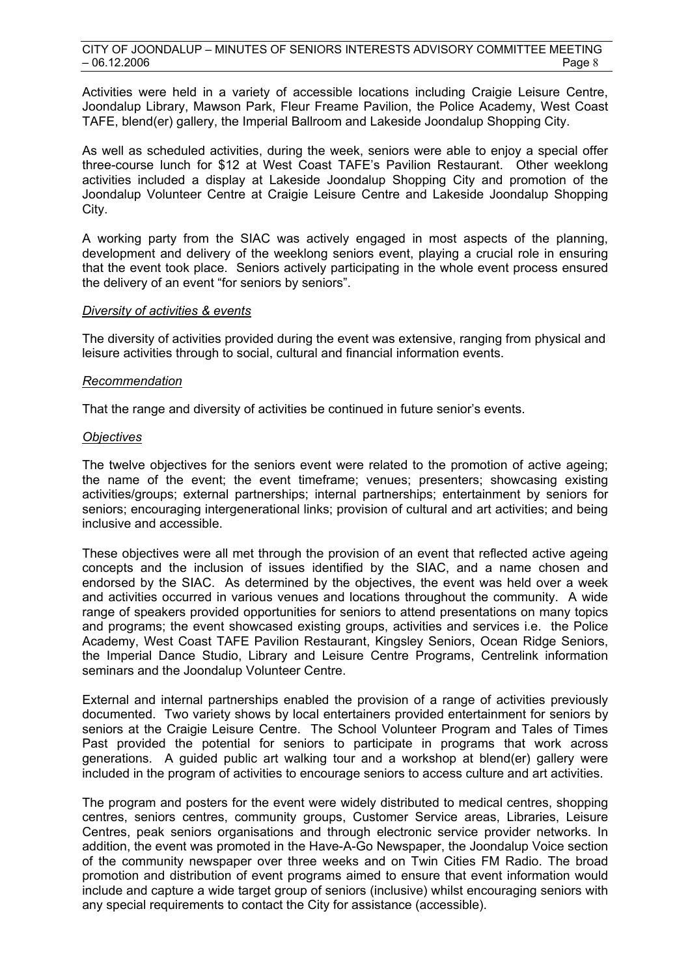Activities were held in a variety of accessible locations including Craigie Leisure Centre, Joondalup Library, Mawson Park, Fleur Freame Pavilion, the Police Academy, West Coast TAFE, blend(er) gallery, the Imperial Ballroom and Lakeside Joondalup Shopping City.

As well as scheduled activities, during the week, seniors were able to enjoy a special offer three-course lunch for \$12 at West Coast TAFE's Pavilion Restaurant. Other weeklong activities included a display at Lakeside Joondalup Shopping City and promotion of the Joondalup Volunteer Centre at Craigie Leisure Centre and Lakeside Joondalup Shopping City.

A working party from the SIAC was actively engaged in most aspects of the planning, development and delivery of the weeklong seniors event, playing a crucial role in ensuring that the event took place. Seniors actively participating in the whole event process ensured the delivery of an event "for seniors by seniors".

#### *Diversity of activities & events*

The diversity of activities provided during the event was extensive, ranging from physical and leisure activities through to social, cultural and financial information events.

# *Recommendation*

That the range and diversity of activities be continued in future senior's events.

# *Objectives*

The twelve objectives for the seniors event were related to the promotion of active ageing; the name of the event; the event timeframe; venues; presenters; showcasing existing activities/groups; external partnerships; internal partnerships; entertainment by seniors for seniors; encouraging intergenerational links; provision of cultural and art activities; and being inclusive and accessible.

These objectives were all met through the provision of an event that reflected active ageing concepts and the inclusion of issues identified by the SIAC, and a name chosen and endorsed by the SIAC. As determined by the objectives, the event was held over a week and activities occurred in various venues and locations throughout the community. A wide range of speakers provided opportunities for seniors to attend presentations on many topics and programs; the event showcased existing groups, activities and services i.e. the Police Academy, West Coast TAFE Pavilion Restaurant, Kingsley Seniors, Ocean Ridge Seniors, the Imperial Dance Studio, Library and Leisure Centre Programs, Centrelink information seminars and the Joondalup Volunteer Centre.

External and internal partnerships enabled the provision of a range of activities previously documented. Two variety shows by local entertainers provided entertainment for seniors by seniors at the Craigie Leisure Centre. The School Volunteer Program and Tales of Times Past provided the potential for seniors to participate in programs that work across generations. A guided public art walking tour and a workshop at blend(er) gallery were included in the program of activities to encourage seniors to access culture and art activities.

The program and posters for the event were widely distributed to medical centres, shopping centres, seniors centres, community groups, Customer Service areas, Libraries, Leisure Centres, peak seniors organisations and through electronic service provider networks. In addition, the event was promoted in the Have-A-Go Newspaper, the Joondalup Voice section of the community newspaper over three weeks and on Twin Cities FM Radio. The broad promotion and distribution of event programs aimed to ensure that event information would include and capture a wide target group of seniors (inclusive) whilst encouraging seniors with any special requirements to contact the City for assistance (accessible).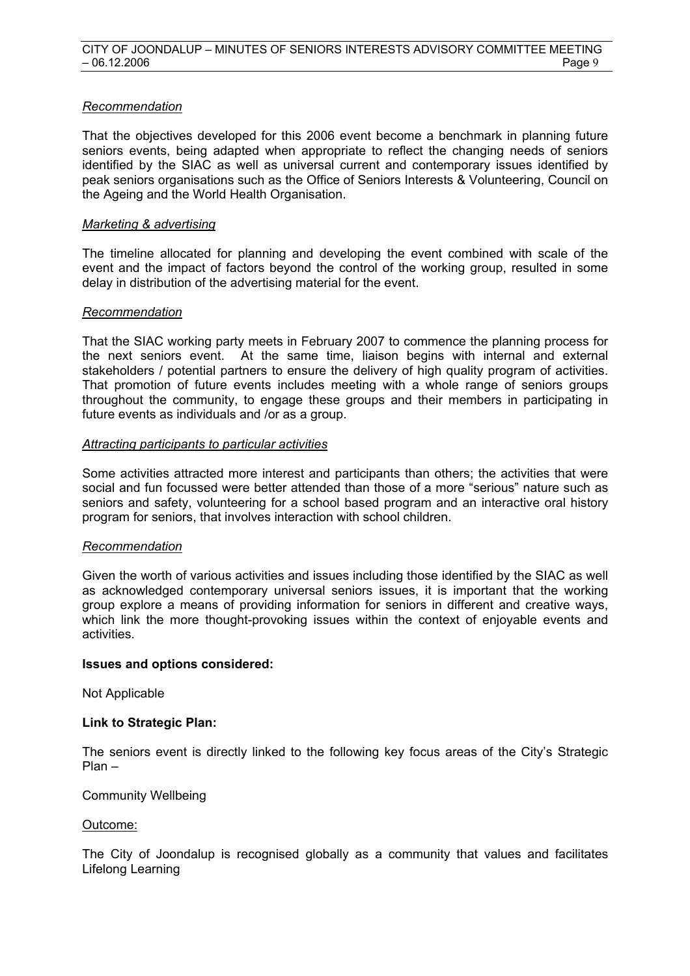# *Recommendation*

That the objectives developed for this 2006 event become a benchmark in planning future seniors events, being adapted when appropriate to reflect the changing needs of seniors identified by the SIAC as well as universal current and contemporary issues identified by peak seniors organisations such as the Office of Seniors Interests & Volunteering, Council on the Ageing and the World Health Organisation.

#### *Marketing & advertising*

The timeline allocated for planning and developing the event combined with scale of the event and the impact of factors beyond the control of the working group, resulted in some delay in distribution of the advertising material for the event.

# *Recommendation*

That the SIAC working party meets in February 2007 to commence the planning process for the next seniors event. At the same time, liaison begins with internal and external stakeholders / potential partners to ensure the delivery of high quality program of activities. That promotion of future events includes meeting with a whole range of seniors groups throughout the community, to engage these groups and their members in participating in future events as individuals and /or as a group.

# *Attracting participants to particular activities*

Some activities attracted more interest and participants than others; the activities that were social and fun focussed were better attended than those of a more "serious" nature such as seniors and safety, volunteering for a school based program and an interactive oral history program for seniors, that involves interaction with school children.

#### *Recommendation*

Given the worth of various activities and issues including those identified by the SIAC as well as acknowledged contemporary universal seniors issues, it is important that the working group explore a means of providing information for seniors in different and creative ways, which link the more thought-provoking issues within the context of enjoyable events and activities.

#### **Issues and options considered:**

Not Applicable

#### **Link to Strategic Plan:**

The seniors event is directly linked to the following key focus areas of the City's Strategic Plan –

#### Community Wellbeing

#### Outcome:

The City of Joondalup is recognised globally as a community that values and facilitates Lifelong Learning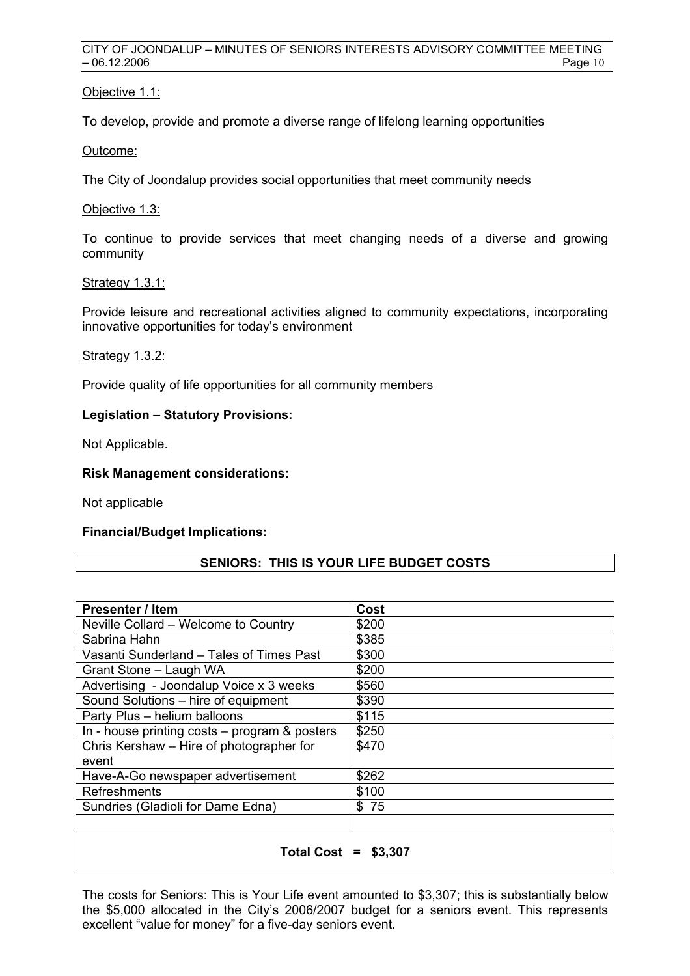# Objective 1.1:

To develop, provide and promote a diverse range of lifelong learning opportunities

Outcome:

The City of Joondalup provides social opportunities that meet community needs

#### Objective 1.3:

To continue to provide services that meet changing needs of a diverse and growing community

#### Strategy 1.3.1:

Provide leisure and recreational activities aligned to community expectations, incorporating innovative opportunities for today's environment

# Strategy 1.3.2:

Provide quality of life opportunities for all community members

# **Legislation – Statutory Provisions:**

Not Applicable.

# **Risk Management considerations:**

Not applicable

#### **Financial/Budget Implications:**

# **SENIORS: THIS IS YOUR LIFE BUDGET COSTS**

| <b>Presenter / Item</b>                         | Cost  |
|-------------------------------------------------|-------|
| Neville Collard - Welcome to Country            | \$200 |
| Sabrina Hahn                                    | \$385 |
| Vasanti Sunderland - Tales of Times Past        | \$300 |
| Grant Stone - Laugh WA                          | \$200 |
| Advertising - Joondalup Voice x 3 weeks         | \$560 |
| Sound Solutions - hire of equipment             | \$390 |
| Party Plus - helium balloons                    | \$115 |
| In - house printing $costs - program$ & posters | \$250 |
| Chris Kershaw - Hire of photographer for        | \$470 |
| event                                           |       |
| Have-A-Go newspaper advertisement               | \$262 |
| <b>Refreshments</b>                             | \$100 |
| Sundries (Gladioli for Dame Edna)               | \$75  |
|                                                 |       |
| Total Cost = \$3.307                            |       |

The costs for Seniors: This is Your Life event amounted to \$3,307; this is substantially below the \$5,000 allocated in the City's 2006/2007 budget for a seniors event. This represents excellent "value for money" for a five-day seniors event.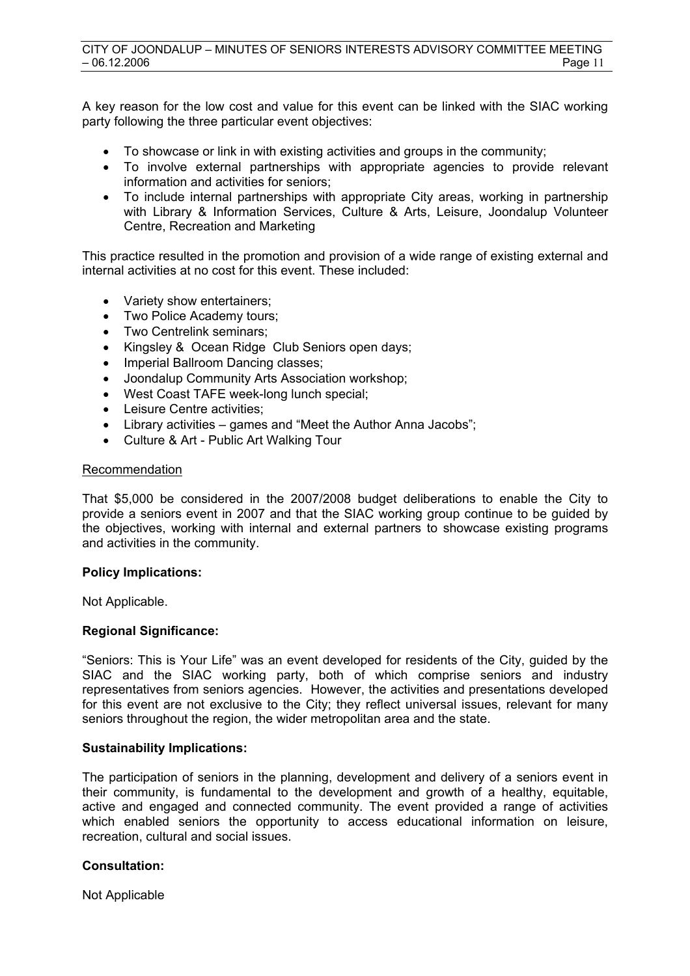A key reason for the low cost and value for this event can be linked with the SIAC working party following the three particular event objectives:

- To showcase or link in with existing activities and groups in the community;
- To involve external partnerships with appropriate agencies to provide relevant information and activities for seniors;
- To include internal partnerships with appropriate City areas, working in partnership with Library & Information Services, Culture & Arts, Leisure, Joondalup Volunteer Centre, Recreation and Marketing

This practice resulted in the promotion and provision of a wide range of existing external and internal activities at no cost for this event. These included:

- Variety show entertainers;
- Two Police Academy tours;
- Two Centrelink seminars;
- Kingsley & Ocean Ridge Club Seniors open days;
- Imperial Ballroom Dancing classes:
- Joondalup Community Arts Association workshop;
- West Coast TAFE week-long lunch special;
- Leisure Centre activities;
- Library activities games and "Meet the Author Anna Jacobs";
- Culture & Art Public Art Walking Tour

#### Recommendation

That \$5,000 be considered in the 2007/2008 budget deliberations to enable the City to provide a seniors event in 2007 and that the SIAC working group continue to be guided by the objectives, working with internal and external partners to showcase existing programs and activities in the community.

#### **Policy Implications:**

Not Applicable.

#### **Regional Significance:**

"Seniors: This is Your Life" was an event developed for residents of the City, guided by the SIAC and the SIAC working party, both of which comprise seniors and industry representatives from seniors agencies. However, the activities and presentations developed for this event are not exclusive to the City; they reflect universal issues, relevant for many seniors throughout the region, the wider metropolitan area and the state.

#### **Sustainability Implications:**

The participation of seniors in the planning, development and delivery of a seniors event in their community, is fundamental to the development and growth of a healthy, equitable, active and engaged and connected community. The event provided a range of activities which enabled seniors the opportunity to access educational information on leisure, recreation, cultural and social issues.

#### **Consultation:**

Not Applicable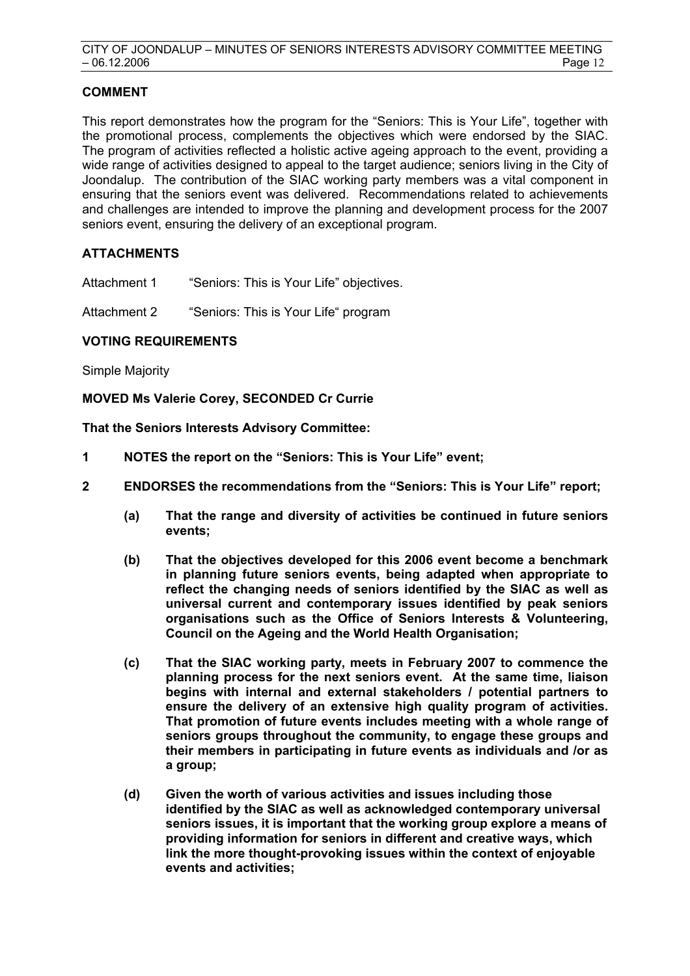# **COMMENT**

This report demonstrates how the program for the "Seniors: This is Your Life", together with the promotional process, complements the objectives which were endorsed by the SIAC. The program of activities reflected a holistic active ageing approach to the event, providing a wide range of activities designed to appeal to the target audience; seniors living in the City of Joondalup. The contribution of the SIAC working party members was a vital component in ensuring that the seniors event was delivered. Recommendations related to achievements and challenges are intended to improve the planning and development process for the 2007 seniors event, ensuring the delivery of an exceptional program.

# **ATTACHMENTS**

Attachment 1 "Seniors: This is Your Life" objectives.

Attachment 2 "Seniors: This is Your Life" program

# **VOTING REQUIREMENTS**

Simple Majority

**MOVED Ms Valerie Corey, SECONDED Cr Currie** 

**That the Seniors Interests Advisory Committee:** 

- **1 NOTES the report on the "Seniors: This is Your Life" event;**
- **2 ENDORSES the recommendations from the "Seniors: This is Your Life" report;** 
	- **(a) That the range and diversity of activities be continued in future seniors events;**
	- **(b) That the objectives developed for this 2006 event become a benchmark in planning future seniors events, being adapted when appropriate to reflect the changing needs of seniors identified by the SIAC as well as universal current and contemporary issues identified by peak seniors organisations such as the Office of Seniors Interests & Volunteering, Council on the Ageing and the World Health Organisation;**
	- **(c) That the SIAC working party, meets in February 2007 to commence the planning process for the next seniors event. At the same time, liaison begins with internal and external stakeholders / potential partners to ensure the delivery of an extensive high quality program of activities. That promotion of future events includes meeting with a whole range of seniors groups throughout the community, to engage these groups and their members in participating in future events as individuals and /or as a group;**
	- **(d) Given the worth of various activities and issues including those identified by the SIAC as well as acknowledged contemporary universal seniors issues, it is important that the working group explore a means of providing information for seniors in different and creative ways, which link the more thought-provoking issues within the context of enjoyable events and activities;**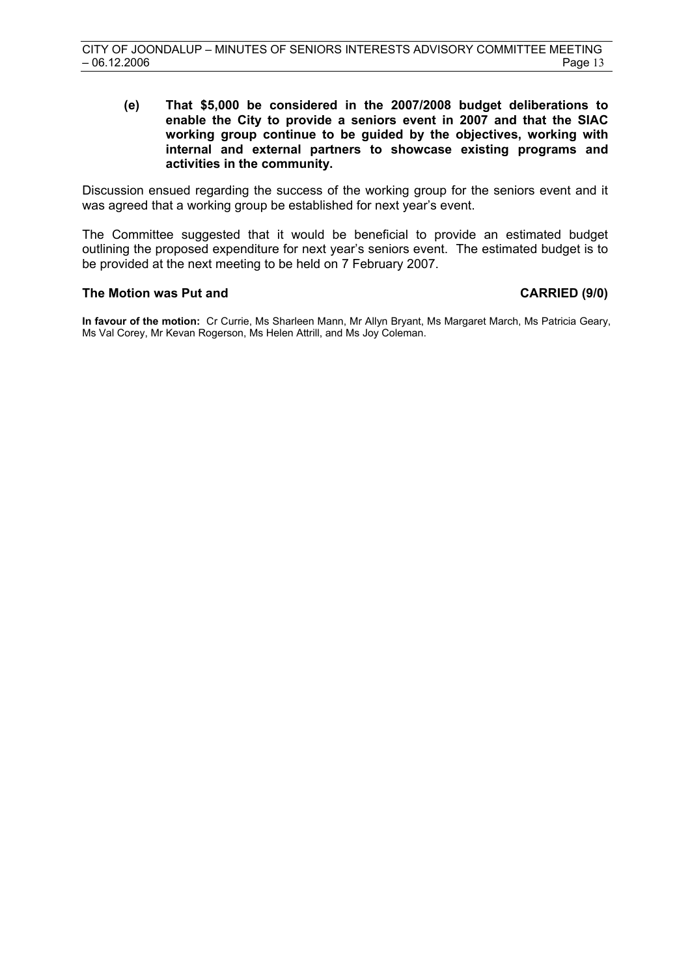**(e) That \$5,000 be considered in the 2007/2008 budget deliberations to enable the City to provide a seniors event in 2007 and that the SIAC working group continue to be guided by the objectives, working with internal and external partners to showcase existing programs and activities in the community.** 

Discussion ensued regarding the success of the working group for the seniors event and it was agreed that a working group be established for next year's event.

The Committee suggested that it would be beneficial to provide an estimated budget outlining the proposed expenditure for next year's seniors event. The estimated budget is to be provided at the next meeting to be held on 7 February 2007.

#### The Motion was Put and **CARRIED** (9/0)

**In favour of the motion:** Cr Currie, Ms Sharleen Mann, Mr Allyn Bryant, Ms Margaret March, Ms Patricia Geary, Ms Val Corey, Mr Kevan Rogerson, Ms Helen Attrill, and Ms Joy Coleman.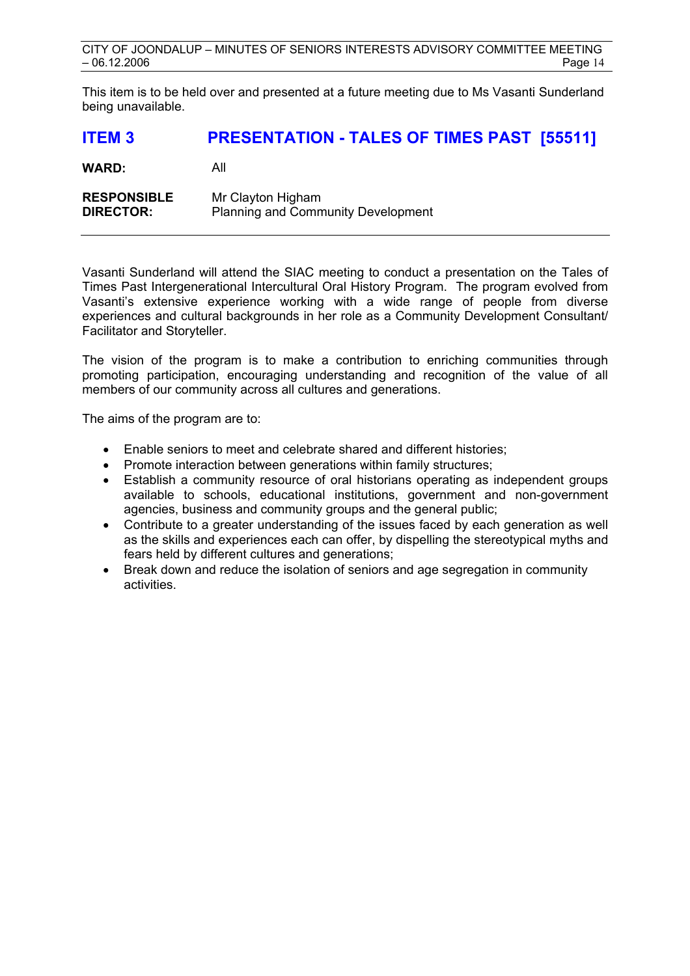This item is to be held over and presented at a future meeting due to Ms Vasanti Sunderland being unavailable.

# **ITEM 3 PRESENTATION - TALES OF TIMES PAST [55511]**

| <b>WARD:</b> | All |  |
|--------------|-----|--|
|              |     |  |

| <b>RESPONSIBLE</b> | Mr Clayton Higham                         |
|--------------------|-------------------------------------------|
| <b>DIRECTOR:</b>   | <b>Planning and Community Development</b> |

Vasanti Sunderland will attend the SIAC meeting to conduct a presentation on the Tales of Times Past Intergenerational Intercultural Oral History Program. The program evolved from Vasanti's extensive experience working with a wide range of people from diverse experiences and cultural backgrounds in her role as a Community Development Consultant/ Facilitator and Storyteller.

The vision of the program is to make a contribution to enriching communities through promoting participation, encouraging understanding and recognition of the value of all members of our community across all cultures and generations.

The aims of the program are to:

- Enable seniors to meet and celebrate shared and different histories;
- Promote interaction between generations within family structures:
- Establish a community resource of oral historians operating as independent groups available to schools, educational institutions, government and non-government agencies, business and community groups and the general public;
- Contribute to a greater understanding of the issues faced by each generation as well as the skills and experiences each can offer, by dispelling the stereotypical myths and fears held by different cultures and generations;
- Break down and reduce the isolation of seniors and age segregation in community activities.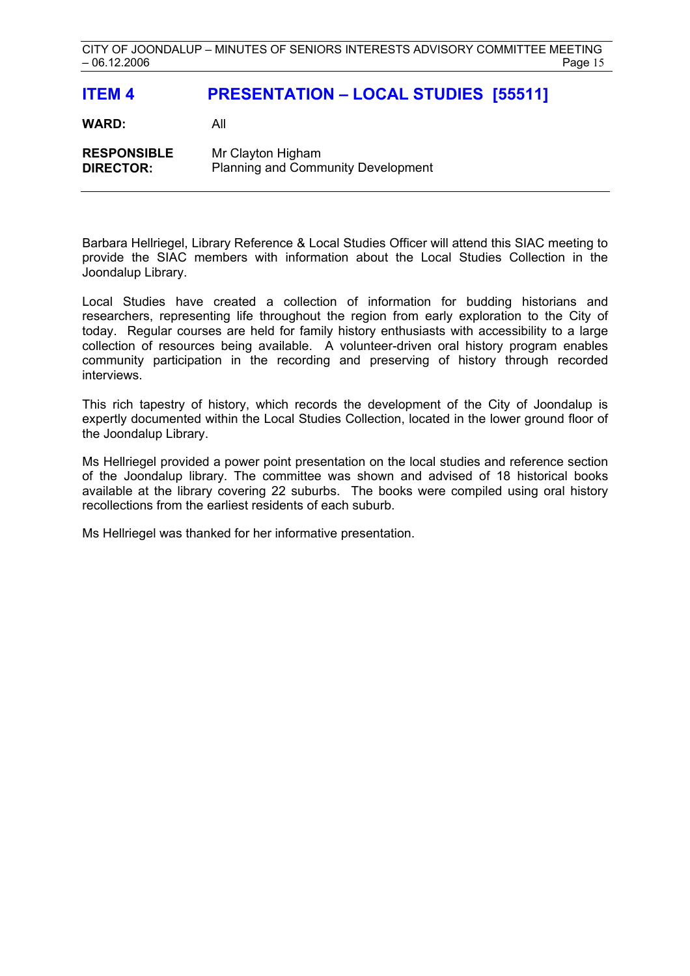# **ITEM 4 PRESENTATION – LOCAL STUDIES [55511]**

**WARD:** All

**RESPONSIBLE** Mr Clayton Higham **DIRECTOR:** Planning and Community Development

Barbara Hellriegel, Library Reference & Local Studies Officer will attend this SIAC meeting to provide the SIAC members with information about the Local Studies Collection in the Joondalup Library.

Local Studies have created a collection of information for budding historians and researchers, representing life throughout the region from early exploration to the City of today. Regular courses are held for family history enthusiasts with accessibility to a large collection of resources being available. A volunteer-driven oral history program enables community participation in the recording and preserving of history through recorded interviews.

This rich tapestry of history, which records the development of the City of Joondalup is expertly documented within the Local Studies Collection, located in the lower ground floor of the Joondalup Library.

Ms Hellriegel provided a power point presentation on the local studies and reference section of the Joondalup library. The committee was shown and advised of 18 historical books available at the library covering 22 suburbs. The books were compiled using oral history recollections from the earliest residents of each suburb.

Ms Hellriegel was thanked for her informative presentation.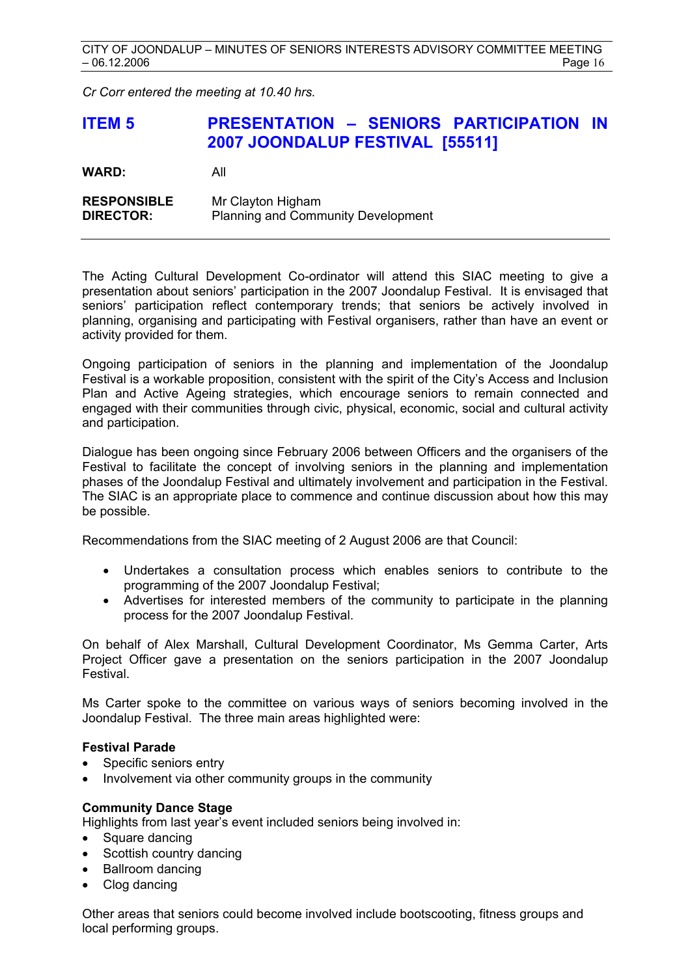*Cr Corr entered the meeting at 10.40 hrs.* 

# **ITEM 5 PRESENTATION – SENIORS PARTICIPATION IN 2007 JOONDALUP FESTIVAL [55511]**

| <b>WARD:</b> | All |
|--------------|-----|
|              |     |

| <b>RESPONSIBLE</b> | Mr Clayton Higham                         |
|--------------------|-------------------------------------------|
| <b>DIRECTOR:</b>   | <b>Planning and Community Development</b> |

The Acting Cultural Development Co-ordinator will attend this SIAC meeting to give a presentation about seniors' participation in the 2007 Joondalup Festival. It is envisaged that seniors' participation reflect contemporary trends; that seniors be actively involved in planning, organising and participating with Festival organisers, rather than have an event or activity provided for them.

Ongoing participation of seniors in the planning and implementation of the Joondalup Festival is a workable proposition, consistent with the spirit of the City's Access and Inclusion Plan and Active Ageing strategies, which encourage seniors to remain connected and engaged with their communities through civic, physical, economic, social and cultural activity and participation.

Dialogue has been ongoing since February 2006 between Officers and the organisers of the Festival to facilitate the concept of involving seniors in the planning and implementation phases of the Joondalup Festival and ultimately involvement and participation in the Festival. The SIAC is an appropriate place to commence and continue discussion about how this may be possible.

Recommendations from the SIAC meeting of 2 August 2006 are that Council:

- Undertakes a consultation process which enables seniors to contribute to the programming of the 2007 Joondalup Festival;
- Advertises for interested members of the community to participate in the planning process for the 2007 Joondalup Festival.

On behalf of Alex Marshall, Cultural Development Coordinator, Ms Gemma Carter, Arts Project Officer gave a presentation on the seniors participation in the 2007 Joondalup Festival.

Ms Carter spoke to the committee on various ways of seniors becoming involved in the Joondalup Festival. The three main areas highlighted were:

# **Festival Parade**

- Specific seniors entry
- Involvement via other community groups in the community

# **Community Dance Stage**

Highlights from last year's event included seniors being involved in:

- Square dancing
- Scottish country dancing
- Ballroom dancing
- Clog dancing

Other areas that seniors could become involved include bootscooting, fitness groups and local performing groups.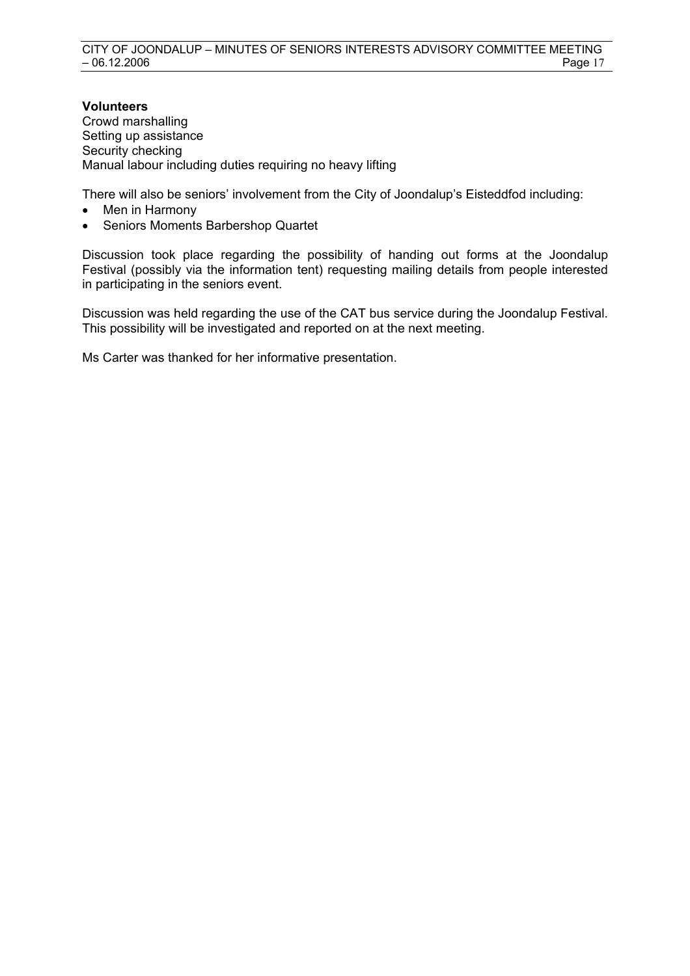#### **Volunteers**  Crowd marshalling Setting up assistance Security checking Manual labour including duties requiring no heavy lifting

There will also be seniors' involvement from the City of Joondalup's Eisteddfod including:

- Men in Harmony
- Seniors Moments Barbershop Quartet

Discussion took place regarding the possibility of handing out forms at the Joondalup Festival (possibly via the information tent) requesting mailing details from people interested in participating in the seniors event.

Discussion was held regarding the use of the CAT bus service during the Joondalup Festival. This possibility will be investigated and reported on at the next meeting.

Ms Carter was thanked for her informative presentation.